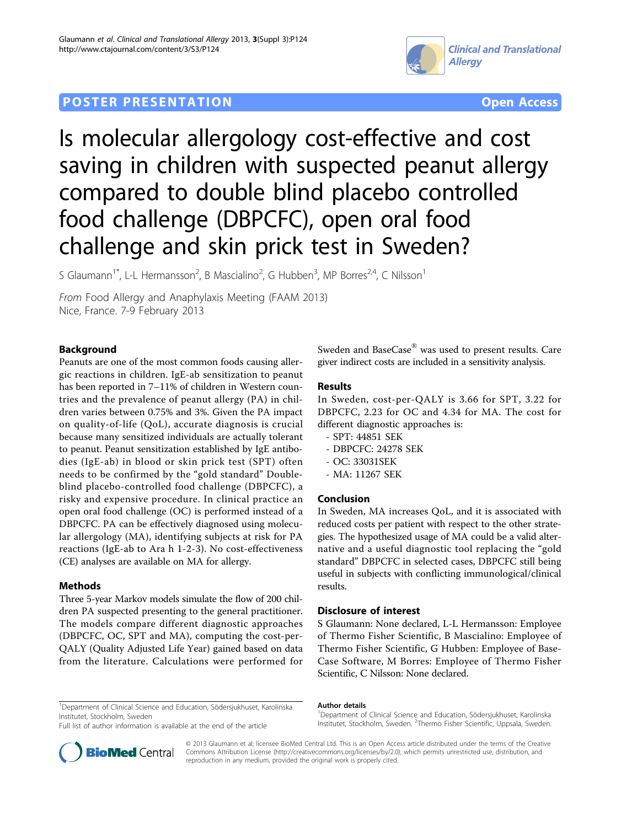# **POSTER PRESENTATION CONSUMING THE SERVICE SERVICE SERVICES COPEN ACCESS**



Is molecular allergology cost-effective and cost saving in children with suspected peanut allergy compared to double blind placebo controlled food challenge (DBPCFC), open oral food challenge and skin prick test in Sweden?

S Glaumann<sup>1\*</sup>, L-L Hermansson<sup>2</sup>, B Mascialino<sup>2</sup>, G Hubben<sup>3</sup>, MP Borres<sup>2,4</sup>, C Nilsson<sup>1</sup>

From Food Allergy and Anaphylaxis Meeting (FAAM 2013) Nice, France. 7-9 February 2013

## Background

Peanuts are one of the most common foods causing allergic reactions in children. IgE-ab sensitization to peanut has been reported in 7–11% of children in Western countries and the prevalence of peanut allergy (PA) in children varies between 0.75% and 3%. Given the PA impact on quality-of-life (QoL), accurate diagnosis is crucial because many sensitized individuals are actually tolerant to peanut. Peanut sensitization established by IgE antibodies (IgE-ab) in blood or skin prick test (SPT) often needs to be confirmed by the "gold standard" Doubleblind placebo-controlled food challenge (DBPCFC), a risky and expensive procedure. In clinical practice an open oral food challenge (OC) is performed instead of a DBPCFC. PA can be effectively diagnosed using molecular allergology (MA), identifying subjects at risk for PA reactions (IgE-ab to Ara h 1-2-3). No cost-effectiveness (CE) analyses are available on MA for allergy.

### Methods

Three 5-year Markov models simulate the flow of 200 children PA suspected presenting to the general practitioner. The models compare different diagnostic approaches (DBPCFC, OC, SPT and MA), computing the cost-per-QALY (Quality Adjusted Life Year) gained based on data from the literature. Calculations were performed for Sweden and BaseCase® was used to present results. Care giver indirect costs are included in a sensitivity analysis.

### Results

In Sweden, cost-per-QALY is 3.66 for SPT, 3.22 for DBPCFC, 2.23 for OC and 4.34 for MA. The cost for different diagnostic approaches is:

- SPT: 44851 SEK
- DBPCFC: 24278 SEK
- OC: 33031SEK
- MA: 11267 SEK

### Conclusion

In Sweden, MA increases QoL, and it is associated with reduced costs per patient with respect to the other strategies. The hypothesized usage of MA could be a valid alternative and a useful diagnostic tool replacing the "gold standard" DBPCFC in selected cases, DBPCFC still being useful in subjects with conflicting immunological/clinical results.

### Disclosure of interest

S Glaumann: None declared, L-L Hermansson: Employee of Thermo Fisher Scientific, B Mascialino: Employee of Thermo Fisher Scientific, G Hubben: Employee of Base-Case Software, M Borres: Employee of Thermo Fisher Scientific, C Nilsson: None declared.

<sup>1</sup>Department of Clinical Science and Education, Södersjukhuset, Karolinska Institutet, Stockholm, Sweden

Full list of author information is available at the end of the article

#### Author details

<sup>1</sup>Department of Clinical Science and Education, Södersjukhuset, Karolinska Institutet, Stockholm, Sweden. <sup>2</sup>Thermo Fisher Scientific, Uppsala, Sweden



© 2013 Glaumann et al; licensee BioMed Central Ltd. This is an Open Access article distributed under the terms of the Creative Commons Attribution License [\(http://creativecommons.org/licenses/by/2.0](http://creativecommons.org/licenses/by/2.0)), which permits unrestricted use, distribution, and reproduction in any medium, provided the original work is properly cited.